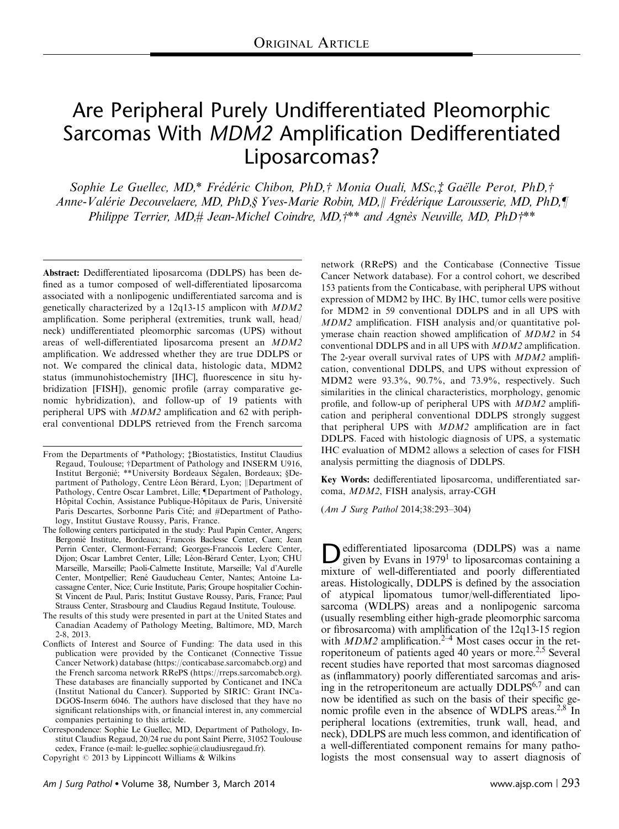# Are Peripheral Purely Undifferentiated Pleomorphic Sarcomas With MDM2 Amplification Dedifferentiated Liposarcomas?

Sophie Le Guellec, MD,\* Frédéric Chibon, PhD,† Monia Ouali, MSc,‡ Gaëlle Perot, PhD,† Anne-Valérie Decouvelaere, MD, PhD,§ Yves-Marie Robin, MD,|| Frédérique Larousserie, MD, PhD,¶ Philippe Terrier, MD,  $\#$  Jean-Michel Coindre, MD,  $\#$ \*\* and Agnès Neuville, MD, PhD $\#$ \*\*

Abstract: Dedifferentiated liposarcoma (DDLPS) has been defined as a tumor composed of well-differentiated liposarcoma associated with a nonlipogenic undifferentiated sarcoma and is genetically characterized by a 12q13-15 amplicon with MDM2 amplification. Some peripheral (extremities, trunk wall, head/ neck) undifferentiated pleomorphic sarcomas (UPS) without areas of well-differentiated liposarcoma present an MDM2 amplification. We addressed whether they are true DDLPS or not. We compared the clinical data, histologic data, MDM2 status (immunohistochemistry [IHC], fluorescence in situ hybridization [FISH]), genomic profile (array comparative genomic hybridization), and follow-up of 19 patients with peripheral UPS with MDM2 amplification and 62 with peripheral conventional DDLPS retrieved from the French sarcoma

network (RRePS) and the Conticabase (Connective Tissue Cancer Network database). For a control cohort, we described 153 patients from the Conticabase, with peripheral UPS without expression of MDM2 by IHC. By IHC, tumor cells were positive for MDM2 in 59 conventional DDLPS and in all UPS with MDM2 amplification. FISH analysis and/or quantitative polymerase chain reaction showed amplification of MDM2 in 54 conventional DDLPS and in all UPS with MDM2 amplification. The 2-year overall survival rates of UPS with MDM2 amplification, conventional DDLPS, and UPS without expression of MDM2 were 93.3%, 90.7%, and 73.9%, respectively. Such similarities in the clinical characteristics, morphology, genomic profile, and follow-up of peripheral UPS with MDM2 amplification and peripheral conventional DDLPS strongly suggest that peripheral UPS with MDM2 amplification are in fact DDLPS. Faced with histologic diagnosis of UPS, a systematic IHC evaluation of MDM2 allows a selection of cases for FISH analysis permitting the diagnosis of DDLPS.

Key Words: dedifferentiated liposarcoma, undifferentiated sarcoma, MDM2, FISH analysis, array-CGH

(Am J Surg Pathol 2014;38:293–304)

Dedifferentiated liposarcoma (DDLPS) was a name<br>given by Evans in 1979<sup>1</sup> to liposarcomas containing a<br>given of multi-effective data process differentiated mixture of well-differentiated and poorly differentiated areas. Histologically, DDLPS is defined by the association of atypical lipomatous tumor/well-differentiated liposarcoma (WDLPS) areas and a nonlipogenic sarcoma (usually resembling either high-grade pleomorphic sarcoma or fibrosarcoma) with amplification of the 12q13-15 region with  $MDM2$  amplification.<sup>2–4</sup> Most cases occur in the retroperitoneum of patients aged 40 years or more.<sup>2,5</sup> Several recent studies have reported that most sarcomas diagnosed as (inflammatory) poorly differentiated sarcomas and arising in the retroperitoneum are actually DDLPS<sup>6,7</sup> and can now be identified as such on the basis of their specific genomic profile even in the absence of WDLPS areas.<sup>2,8</sup> In peripheral locations (extremities, trunk wall, head, and neck), DDLPS are much less common, and identification of a well-differentiated component remains for many pathologists the most consensual way to assert diagnosis of

From the Departments of \*Pathology;  $\ddagger$ Biostatistics, Institut Claudius<br>Regaud, Toulouse;  $\ddagger$ Department of Pathology and INSERM U916, Regaud, Toulouse; †Department of Pathology and INSERM U916, Institut Repromié: \*\*I Iniversity Rordeaux Spe-Institut Bergonié; \*\*University Bordeaux Ségalen, Bordeaux; §De-<br>partment of Pathology Centre Léon Bérard, Lyon: ||Department of partment of Pathology, Centre Léon Bérard, Lyon; ||Department of Pathology, Centre Oscar Lambret, Lille; ||Department of Pathology, Pathology, Centre Oscar Lambret, Lille; ¶Department of Pathology,<br>Hôpital Cochin, Assistance Publique-Hôpitaux de Paris, Université Paris Descartes, Sorbonne Paris Cité; and #Department of Pathology, Institut Gustave Roussy, Paris, France.

The following centers participated in the study: Paul Papin Center, Angers; Bergonié Institute, Bordeaux; Francois Baclesse Center, Caen; Jean Perrin Center, Clermont-Ferrand; Georges-Francois Leclerc Center, Dijon; Oscar Lambret Center, Lille; Léon-Bérard Center, Lyon; CHU Marseille, Marseille; Paoli-Calmette Institute, Marseille; Val d'Aurelle Center, Montpellier; René Gauducheau Center, Nantes; Antoine Lacassagne Center, Nice; Curie Institute, Paris; Groupe hospitalier Cochin-St Vincent de Paul, Paris; Institut Gustave Roussy, Paris, France; Paul Strauss Center, Strasbourg and Claudius Regaud Institute, Toulouse.

The results of this study were presented in part at the United States and Canadian Academy of Pathology Meeting, Baltimore, MD, March 2-8, 2013.

Conflicts of Interest and Source of Funding: The data used in this publication were provided by the Conticanet (Connective Tissue Cancer Network) database (<https://conticabase.sarcomabcb.org>) and the French sarcoma network RRePS ([https://rreps.sarcomabcb.org\)](https://rreps.sarcomabcb.org). These databases are financially supported by Conticanet and INCa (Institut National du Cancer). Supported by SIRIC: Grant INCa-DGOS-Inserm 6046. The authors have disclosed that they have no significant relationships with, or financial interest in, any commercial companies pertaining to this article.

Correspondence: Sophie Le Guellec, MD, Department of Pathology, Institut Claudius Regaud, 20/24 rue du pont Saint Pierre, 31052 Toulouse cedex, France (e-mail: [le-guellec.sophie@claudiusregaud.fr\)](mailto:le-guellec.sophie@claudiusregaud.fr). Copyright © 2013 by Lippincott Williams & Wilkins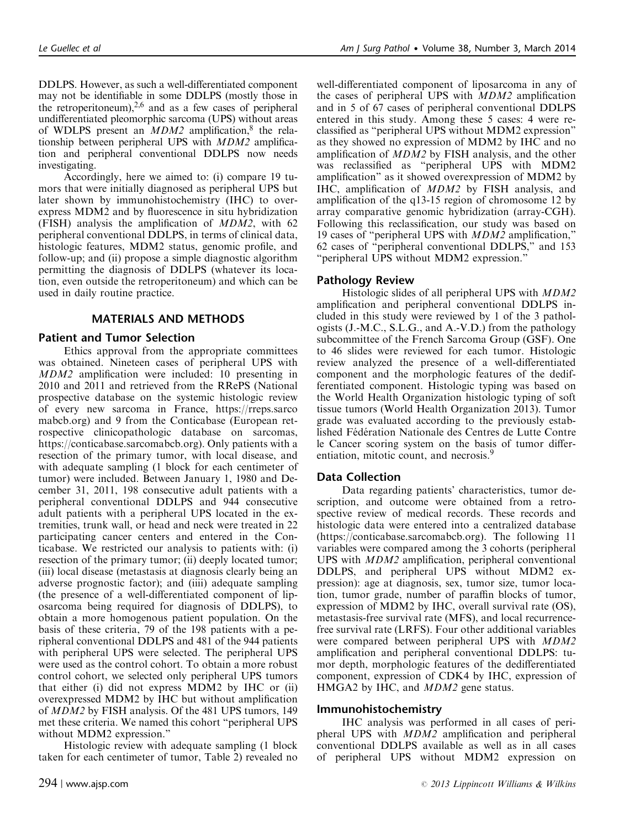well-differentiated component of liposarcoma in any of

DDLPS. However, as such a well-differentiated component may not be identifiable in some DDLPS (mostly those in the retroperitoneum), $2,6$  and as a few cases of peripheral undifferentiated pleomorphic sarcoma (UPS) without areas of WDLPS present an  $MDM2$  amplification,<sup>[8](#page-11-0)</sup> the relationship between peripheral UPS with MDM2 amplification and peripheral conventional DDLPS now needs investigating.

Accordingly, here we aimed to: (i) compare 19 tumors that were initially diagnosed as peripheral UPS but later shown by immunohistochemistry (IHC) to overexpress MDM2 and by fluorescence in situ hybridization (FISH) analysis the amplification of MDM2, with 62 peripheral conventional DDLPS, in terms of clinical data, histologic features, MDM2 status, genomic profile, and follow-up; and (ii) propose a simple diagnostic algorithm permitting the diagnosis of DDLPS (whatever its location, even outside the retroperitoneum) and which can be used in daily routine practice.

# MATERIALS AND METHODS

## Patient and Tumor Selection

Ethics approval from the appropriate committees was obtained. Nineteen cases of peripheral UPS with MDM2 amplification were included: 10 presenting in 2010 and 2011 and retrieved from the RRePS (National prospective database on the systemic histologic review of every new sarcoma in France, [https://rreps.sarco](https://rreps.sarcomabcb.org) [mabcb.org](https://rreps.sarcomabcb.org)) and 9 from the Conticabase (European retrospective clinicopathologic database on sarcomas, [https://conticabase.sarcomabcb.org\)](https://conticabase.sarcomabcb.org). Only patients with a resection of the primary tumor, with local disease, and with adequate sampling (1 block for each centimeter of tumor) were included. Between January 1, 1980 and December 31, 2011, 198 consecutive adult patients with a peripheral conventional DDLPS and 944 consecutive adult patients with a peripheral UPS located in the extremities, trunk wall, or head and neck were treated in 22 participating cancer centers and entered in the Conticabase. We restricted our analysis to patients with: (i) resection of the primary tumor; (ii) deeply located tumor; (iii) local disease (metastasis at diagnosis clearly being an adverse prognostic factor); and (iiii) adequate sampling (the presence of a well-differentiated component of liposarcoma being required for diagnosis of DDLPS), to obtain a more homogenous patient population. On the basis of these criteria, 79 of the 198 patients with a peripheral conventional DDLPS and 481 of the 944 patients with peripheral UPS were selected. The peripheral UPS were used as the control cohort. To obtain a more robust control cohort, we selected only peripheral UPS tumors that either (i) did not express MDM2 by IHC or (ii) overexpressed MDM2 by IHC but without amplification of MDM2 by FISH analysis. Of the 481 UPS tumors, 149 met these criteria. We named this cohort "peripheral UPS without MDM2 expression."

Histologic review with adequate sampling (1 block taken for each centimeter of tumor, [Table 2\)](#page-4-0) revealed no

the cases of peripheral UPS with MDM2 amplification and in 5 of 67 cases of peripheral conventional DDLPS entered in this study. Among these 5 cases: 4 were reclassified as "peripheral UPS without MDM2 expression" as they showed no expression of MDM2 by IHC and no amplification of MDM2 by FISH analysis, and the other was reclassified as "peripheral UPS with MDM2 amplification" as it showed overexpression of MDM2 by IHC, amplification of MDM2 by FISH analysis, and amplification of the q13-15 region of chromosome 12 by array comparative genomic hybridization (array-CGH). Following this reclassification, our study was based on 19 cases of "peripheral UPS with MDM2 amplification," 62 cases of "peripheral conventional DDLPS," and 153 "peripheral UPS without MDM2 expression."

# Pathology Review

Histologic slides of all peripheral UPS with MDM2 amplification and peripheral conventional DDLPS included in this study were reviewed by 1 of the 3 pathologists (J.-M.C., S.L.G., and A.-V.D.) from the pathology subcommittee of the French Sarcoma Group (GSF). One to 46 slides were reviewed for each tumor. Histologic review analyzed the presence of a well-differentiated component and the morphologic features of the dedifferentiated component. Histologic typing was based on the World Health Organization histologic typing of soft tissue tumors (World Health Organization 2013). Tumor grade was evaluated according to the previously established Fédération Nationale des Centres de Lutte Contre le Cancer scoring system on the basis of tumor differ-entiation, mitotic count, and necrosis.<sup>[9](#page-11-0)</sup>

# Data Collection

Data regarding patients' characteristics, tumor description, and outcome were obtained from a retrospective review of medical records. These records and histologic data were entered into a centralized database ([https://conticabase.sarcomabcb.org\)](https://conticabase.sarcomabcb.org). The following 11 variables were compared among the 3 cohorts (peripheral UPS with MDM2 amplification, peripheral conventional DDLPS, and peripheral UPS without MDM2 expression): age at diagnosis, sex, tumor size, tumor location, tumor grade, number of paraffin blocks of tumor, expression of MDM2 by IHC, overall survival rate (OS), metastasis-free survival rate (MFS), and local recurrencefree survival rate (LRFS). Four other additional variables were compared between peripheral UPS with MDM2 amplification and peripheral conventional DDLPS: tumor depth, morphologic features of the dedifferentiated component, expression of CDK4 by IHC, expression of HMGA2 by IHC, and *MDM2* gene status.

## Immunohistochemistry

IHC analysis was performed in all cases of peripheral UPS with MDM2 amplification and peripheral conventional DDLPS available as well as in all cases of peripheral UPS without MDM2 expression on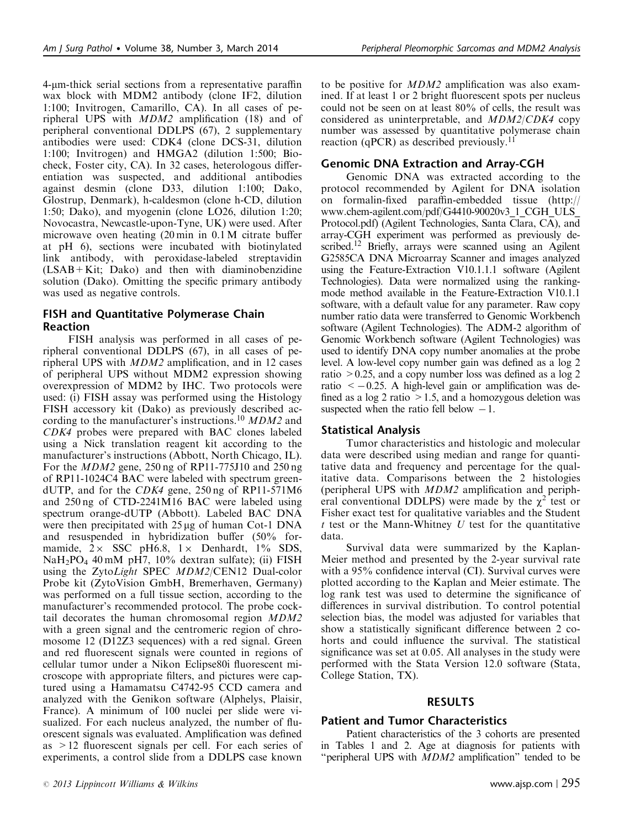4-mm-thick serial sections from a representative paraffin wax block with MDM2 antibody (clone IF2, dilution 1:100; Invitrogen, Camarillo, CA). In all cases of peripheral UPS with MDM2 amplification (18) and of peripheral conventional DDLPS (67), 2 supplementary antibodies were used: CDK4 (clone DCS-31, dilution 1:100; Invitrogen) and HMGA2 (dilution 1:500; Biocheck, Foster city, CA). In 32 cases, heterologous differentiation was suspected, and additional antibodies against desmin (clone D33, dilution 1:100; Dako, Glostrup, Denmark), h-caldesmon (clone h-CD, dilution 1:50; Dako), and myogenin (clone LO26, dilution 1:20; Novocastra, Newcastle-upon-Tyne, UK) were used. After microwave oven heating (20 min in 0.1 M citrate buffer at pH 6), sections were incubated with biotinylated link antibody, with peroxidase-labeled streptavidin (LSAB+Kit; Dako) and then with diaminobenzidine solution (Dako). Omitting the specific primary antibody was used as negative controls.

# FISH and Quantitative Polymerase Chain Reaction

FISH analysis was performed in all cases of peripheral conventional DDLPS (67), in all cases of peripheral UPS with MDM2 amplification, and in 12 cases of peripheral UPS without MDM2 expression showing overexpression of MDM2 by IHC. Two protocols were used: (i) FISH assay was performed using the Histology FISH accessory kit (Dako) as previously described ac-cording to the manufacturer's instructions.<sup>[10](#page-11-0)</sup> MDM2 and CDK4 probes were prepared with BAC clones labeled using a Nick translation reagent kit according to the manufacturer's instructions (Abbott, North Chicago, IL). For the MDM2 gene, 250 ng of RP11-775J10 and 250 ng of RP11-1024C4 BAC were labeled with spectrum greendUTP, and for the CDK4 gene, 250 ng of RP11-571M6 and 250 ng of CTD-2241M16 BAC were labeled using spectrum orange-dUTP (Abbott). Labeled BAC DNA were then precipitated with  $25 \mu g$  of human Cot-1 DNA and resuspended in hybridization buffer (50% formamide,  $2 \times$  SSC pH6.8,  $1 \times$  Denhardt,  $1\%$  SDS,  $NaH<sub>2</sub>PO<sub>4</sub>$  40 mM pH7, 10% dextran sulfate); (ii) FISH using the ZytoLight SPEC MDM2/CEN12 Dual-color Probe kit (ZytoVision GmbH, Bremerhaven, Germany) was performed on a full tissue section, according to the manufacturer's recommended protocol. The probe cocktail decorates the human chromosomal region MDM2 with a green signal and the centromeric region of chromosome 12 (D12Z3 sequences) with a red signal. Green and red fluorescent signals were counted in regions of cellular tumor under a Nikon Eclipse80i fluorescent microscope with appropriate filters, and pictures were captured using a Hamamatsu C4742-95 CCD camera and analyzed with the Genikon software (Alphelys, Plaisir, France). A minimum of 100 nuclei per slide were visualized. For each nucleus analyzed, the number of fluorescent signals was evaluated. Amplification was defined as >12 fluorescent signals per cell. For each series of experiments, a control slide from a DDLPS case known

to be positive for MDM2 amplification was also examined. If at least 1 or 2 bright fluorescent spots per nucleus could not be seen on at least 80% of cells, the result was considered as uninterpretable, and MDM2/CDK4 copy number was assessed by quantitative polymerase chain reaction (qPCR) as described previously.<sup>[11](#page-11-0)</sup>

### Genomic DNA Extraction and Array-CGH

Genomic DNA was extracted according to the protocol recommended by Agilent for DNA isolation on formalin-fixed paraffin-embedded tissue ([http://](http://www.chem-agilent.com/pdf/G4410-90020v3_1_CGH_ULS_Protocol.pdf) [www.chem-agilent.com/pdf/G4410-90020v3\\_1\\_CGH\\_ULS\\_](http://www.chem-agilent.com/pdf/G4410-90020v3_1_CGH_ULS_Protocol.pdf) [Protocol.pdf](http://www.chem-agilent.com/pdf/G4410-90020v3_1_CGH_ULS_Protocol.pdf)) (Agilent Technologies, Santa Clara, CA), and array-CGH experiment was performed as previously described.<sup>12</sup> Briefly, arrays were scanned using an Agilent G2585CA DNA Microarray Scanner and images analyzed using the Feature-Extraction V10.1.1.1 software (Agilent Technologies). Data were normalized using the rankingmode method available in the Feature-Extraction V10.1.1 software, with a default value for any parameter. Raw copy number ratio data were transferred to Genomic Workbench software (Agilent Technologies). The ADM-2 algorithm of Genomic Workbench software (Agilent Technologies) was used to identify DNA copy number anomalies at the probe level. A low-level copy number gain was defined as a log 2 ratio  $> 0.25$ , and a copy number loss was defined as a log 2 ratio  $\leq -0.25$ . A high-level gain or amplification was defined as a  $log 2$  ratio  $>1.5$ , and a homozygous deletion was suspected when the ratio fell below  $-1$ .

## Statistical Analysis

Tumor characteristics and histologic and molecular data were described using median and range for quantitative data and frequency and percentage for the qualitative data. Comparisons between the 2 histologies (peripheral UPS with MDM2 amplification and peripheral conventional DDLPS) were made by the  $\chi^2$  test or Fisher exact test for qualitative variables and the Student  $t$  test or the Mann-Whitney  $U$  test for the quantitative data.

Survival data were summarized by the Kaplan-Meier method and presented by the 2-year survival rate with a 95% confidence interval (CI). Survival curves were plotted according to the Kaplan and Meier estimate. The log rank test was used to determine the significance of differences in survival distribution. To control potential selection bias, the model was adjusted for variables that show a statistically significant difference between 2 cohorts and could influence the survival. The statistical significance was set at 0.05. All analyses in the study were performed with the Stata Version 12.0 software (Stata, College Station, TX).

#### RESULTS

## Patient and Tumor Characteristics

Patient characteristics of the 3 cohorts are presented in [Tables 1 and 2.](#page-3-0) Age at diagnosis for patients with "peripheral UPS with *MDM2* amplification" tended to be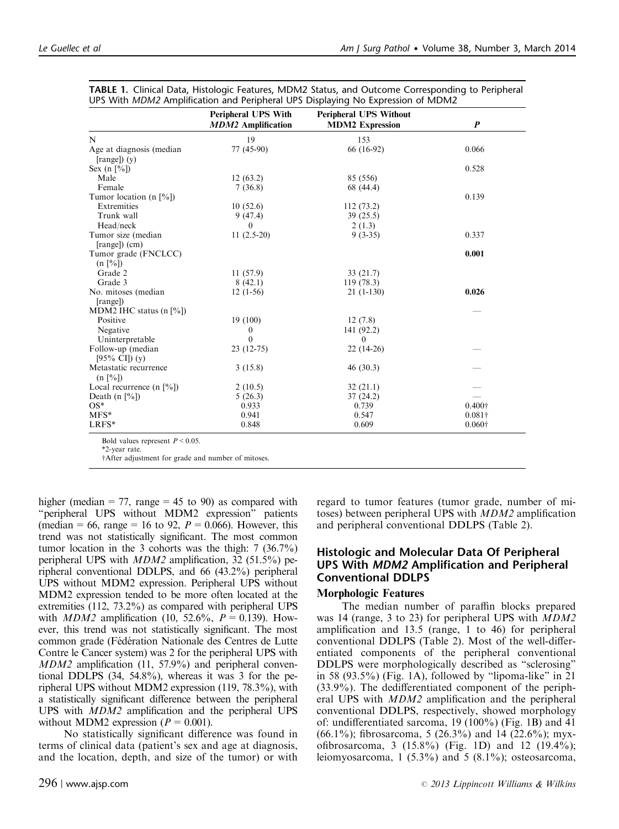|                                                            | <b>Peripheral UPS With</b><br><b>MDM2</b> Amplification | <b>Peripheral UPS Without</b><br><b>MDM2</b> Expression | P              |
|------------------------------------------------------------|---------------------------------------------------------|---------------------------------------------------------|----------------|
| N                                                          | 19                                                      | 153                                                     |                |
| Age at diagnosis (median<br>$[range]$ $(y)$                | 77 (45-90)                                              | 66 (16-92)                                              | 0.066          |
|                                                            |                                                         |                                                         | 0.528          |
| Sex $(n \lceil \frac{6}{6} \rceil)$<br>Male                |                                                         |                                                         |                |
| Female                                                     | 12(63.2)                                                | 85 (556)                                                |                |
|                                                            | 7(36.8)                                                 | 68 (44.4)                                               | 0.139          |
| Tumor location (n $[\%]$ )<br>Extremities                  |                                                         |                                                         |                |
|                                                            | 10(52.6)                                                | 112(73.2)                                               |                |
| Trunk wall                                                 | 9(47.4)                                                 | 39(25.5)                                                |                |
| Head/neck                                                  | $\theta$                                                | 2(1.3)                                                  |                |
| Tumor size (median<br>[range]) (cm)                        | $11(2.5-20)$                                            | $9(3-35)$                                               | 0.337          |
| Tumor grade (FNCLCC)<br>$(n \, \lceil \frac{9}{6} \rceil)$ |                                                         |                                                         | 0.001          |
| Grade 2                                                    | 11(57.9)                                                | 33(21.7)                                                |                |
| Grade 3                                                    | 8(42.1)                                                 | 119(78.3)                                               |                |
| No. mitoses (median                                        | $12(1-56)$                                              | $21(1-130)$                                             | 0.026          |
| [range]                                                    |                                                         |                                                         |                |
| MDM2 IHC status $(n \lceil \frac{6}{6} \rceil)$            |                                                         |                                                         |                |
| Positive                                                   | 19(100)                                                 | 12(7.8)                                                 |                |
| Negative                                                   | 0                                                       | 141 (92.2)                                              |                |
| Uninterpretable                                            | $\theta$                                                | $\theta$                                                |                |
| Follow-up (median<br>$[95\% \text{ CI}]$ (y)               | $23(12-75)$                                             | $22(14-26)$                                             |                |
| Metastatic recurrence<br>(n [%])                           | 3(15.8)                                                 | 46(30.3)                                                |                |
| Local recurrence $(n \lceil \frac{6}{6} \rceil)$           | 2(10.5)                                                 | 32(21.1)                                                |                |
| Death $(n \, \lceil \frac{9}{6} \rceil)$                   | 5(26.3)                                                 | 37(24.2)                                                |                |
| $OS*$                                                      | 0.933                                                   | 0.739                                                   | $0.400\dagger$ |
| $MFS*$                                                     | 0.941                                                   | 0.547                                                   | $0.081\dagger$ |
| LRFS*                                                      | 0.848                                                   | 0.609                                                   | $0.060\dagger$ |

<span id="page-3-0"></span>

|  | TABLE 1. Clinical Data, Histologic Features, MDM2 Status, and Outcome Corresponding to Peripheral |  |  |  |
|--|---------------------------------------------------------------------------------------------------|--|--|--|
|  | UPS With MDM2 Amplification and Peripheral UPS Displaying No Expression of MDM2                   |  |  |  |

Bold values represent  $P < 0.05$ .

\*2-year rate.

†After adjustment for grade and number of mitoses.

higher (median  $= 77$ , range  $= 45$  to 90) as compared with "peripheral UPS without MDM2 expression" patients (median = 66, range = 16 to 92,  $P = 0.066$ ). However, this trend was not statistically significant. The most common tumor location in the 3 cohorts was the thigh: 7 (36.7%) peripheral UPS with MDM2 amplification, 32 (51.5%) peripheral conventional DDLPS, and 66 (43.2%) peripheral UPS without MDM2 expression. Peripheral UPS without MDM2 expression tended to be more often located at the extremities (112, 73.2%) as compared with peripheral UPS with *MDM2* amplification (10, 52.6%,  $P = 0.139$ ). However, this trend was not statistically significant. The most common grade (Fédération Nationale des Centres de Lutte Contre le Cancer system) was 2 for the peripheral UPS with MDM2 amplification (11, 57.9%) and peripheral conventional DDLPS (34, 54.8%), whereas it was 3 for the peripheral UPS without MDM2 expression (119, 78.3%), with a statistically significant difference between the peripheral UPS with MDM2 amplification and the peripheral UPS without MDM2 expression ( $P = 0.001$ ).

No statistically significant difference was found in terms of clinical data (patient's sex and age at diagnosis, and the location, depth, and size of the tumor) or with

toses) between peripheral UPS with MDM2 amplification and peripheral conventional DDLPS [\(Table 2\)](#page-4-0).

## Histologic and Molecular Data Of Peripheral UPS With MDM2 Amplification and Peripheral Conventional DDLPS

regard to tumor features (tumor grade, number of mi-

## Morphologic Features

The median number of paraffin blocks prepared was 14 (range, 3 to 23) for peripheral UPS with MDM2 amplification and 13.5 (range, 1 to 46) for peripheral conventional DDLPS ([Table 2\)](#page-4-0). Most of the well-differentiated components of the peripheral conventional DDLPS were morphologically described as "sclerosing" in 58  $(93.5\%)$  [\(Fig. 1A](#page-5-0)), followed by "lipoma-like" in 21 (33.9%). The dedifferentiated component of the peripheral UPS with MDM2 amplification and the peripheral conventional DDLPS, respectively, showed morphology of: undifferentiated sarcoma, 19 (100%) [\(Fig. 1B](#page-5-0)) and 41  $(66.1\%)$ ; fibrosarcoma, 5 (26.3%) and 14 (22.6%); myxofibrosarcoma, 3 (15.8%) [\(Fig. 1D](#page-5-0)) and 12 (19.4%); leiomyosarcoma, 1 (5.3%) and 5 (8.1%); osteosarcoma,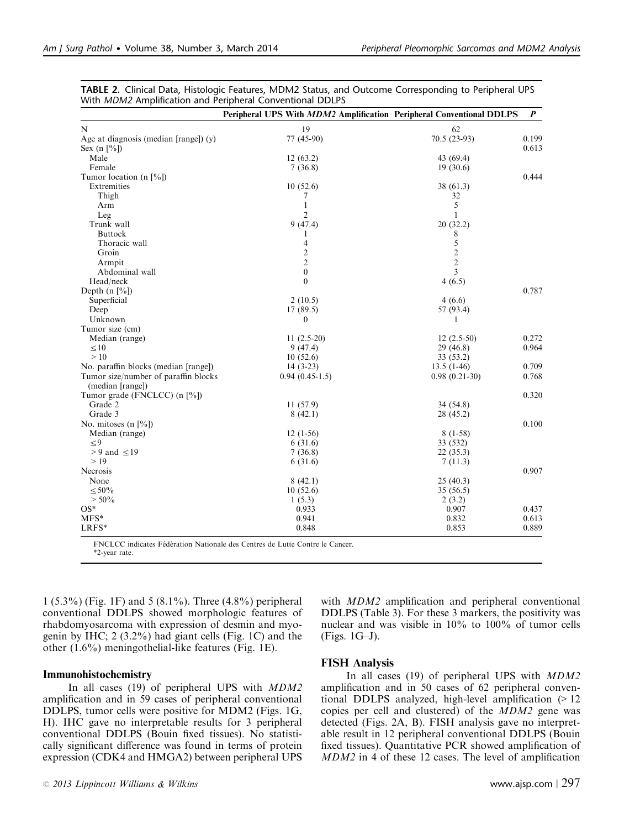|                                          | Peripheral UPS With MDM2 Amplification Peripheral Conventional DDLPS |                 | $\boldsymbol{P}$ |
|------------------------------------------|----------------------------------------------------------------------|-----------------|------------------|
| N                                        | 19                                                                   | 62              |                  |
| Age at diagnosis (median [range]) $(y)$  | 77 (45-90)                                                           | $70.5(23-93)$   | 0.199            |
| Sex (n $[\%]$ )                          |                                                                      |                 | 0.613            |
| Male                                     | 12(63.2)                                                             | 43 (69.4)       |                  |
| Female                                   | 7(36.8)                                                              | 19(30.6)        |                  |
| Tumor location (n $[\%]$ )               |                                                                      |                 | 0.444            |
| Extremities                              | 10(52.6)                                                             | 38 (61.3)       |                  |
| Thigh                                    | 7                                                                    | 32              |                  |
| Arm                                      | $\mathbf{1}$                                                         | 5               |                  |
| Leg                                      | $\overline{2}$                                                       | 1               |                  |
| Trunk wall                               | 9(47.4)                                                              | 20(32.2)        |                  |
| <b>Buttock</b>                           | 1                                                                    | 8               |                  |
| Thoracic wall                            | 4                                                                    | $\sqrt{5}$      |                  |
| Groin                                    | $\overline{c}$                                                       | $\sqrt{2}$      |                  |
| Armpit                                   | $\overline{2}$                                                       | $\overline{c}$  |                  |
| Abdominal wall                           | $\mathbf{0}$                                                         | 3               |                  |
| Head/neck                                | $\mathbf{0}$                                                         | 4(6.5)          |                  |
| Depth $(n \, \lceil \frac{9}{6} \rceil)$ |                                                                      |                 | 0.787            |
| Superficial                              | 2(10.5)                                                              | 4(6.6)          |                  |
| Deep                                     | 17(89.5)                                                             | 57 (93.4)       |                  |
| Unknown                                  | $\overline{0}$                                                       | 1               |                  |
| Tumor size (cm)                          |                                                                      |                 |                  |
| Median (range)                           | $11(2.5-20)$                                                         | $12(2.5-50)$    | 0.272            |
| $\leq 10$                                | 9(47.4)                                                              | 29(46.8)        | 0.964            |
| >10                                      | 10(52.6)                                                             | 33 (53.2)       |                  |
| No. paraffin blocks (median [range])     | $14(3-23)$                                                           | $13.5(1-46)$    | 0.709            |
| Tumor size/number of paraffin blocks     | $0.94(0.45-1.5)$                                                     | $0.98(0.21-30)$ | 0.768            |
| (median [range])                         |                                                                      |                 |                  |
| Tumor grade (FNCLCC) (n $[\%]$ )         |                                                                      |                 | 0.320            |
| Grade 2                                  | 11(57.9)                                                             | 34(54.8)        |                  |
| Grade 3                                  | 8(42.1)                                                              | 28 (45.2)       |                  |
| No. mitoses $(n \, [\%])$                |                                                                      |                 | 0.100            |
| Median (range)                           | $12(1-56)$                                                           | $8(1-58)$       |                  |
| $\leq 9$                                 | 6(31.6)                                                              | 33 (532)        |                  |
| $> 9$ and $\leq 19$                      | 7(36.8)                                                              | 22(35.3)        |                  |
| >19                                      | 6(31.6)                                                              | 7(11.3)         |                  |
| Necrosis                                 |                                                                      |                 | 0.907            |
| None                                     |                                                                      |                 |                  |
|                                          | 8(42.1)                                                              | 25(40.3)        |                  |
| $\leq 50\%$                              | 10(52.6)                                                             | 35(56.5)        |                  |
| $> 50\%$                                 | 1(5.3)                                                               | 2(3.2)          |                  |
| $OS*$                                    | 0.933                                                                | 0.907           | 0.437            |
| $MFS*$                                   | 0.941                                                                | 0.832           | 0.613            |
| LRFS*                                    | 0.848                                                                | 0.853           | 0.889            |

<span id="page-4-0"></span>TABLE 2. Clinical Data, Histologic Features, MDM2 Status, and Outcome Corresponding to Peripheral UPS With MDM2 Amplification and Peripheral Conventional DDLPS

FNCLCC indicates Fédération Nationale des Centres de Lutte Contre le Cancer. \*2-year rate.

1 (5.3%) ([Fig. 1F](#page-5-0)) and 5 (8.1%). Three (4.8%) peripheral conventional DDLPS showed morphologic features of rhabdomyosarcoma with expression of desmin and myogenin by IHC; 2 (3.2%) had giant cells [\(Fig. 1C\)](#page-5-0) and the other (1.6%) meningothelial-like features [\(Fig. 1E](#page-5-0)).

#### Immunohistochemistry

In all cases (19) of peripheral UPS with  $MDM2$ amplification and in 59 cases of peripheral conventional DDLPS, tumor cells were positive for MDM2 ([Figs. 1G,](#page-5-0) [H\)](#page-5-0). IHC gave no interpretable results for 3 peripheral conventional DDLPS (Bouin fixed tissues). No statistically significant difference was found in terms of protein expression (CDK4 and HMGA2) between peripheral UPS

 $\degree$  2013 Lippincott Williams & Wilkins www.ajsp.com | 297

with *MDM2* amplification and peripheral conventional DDLPS [\(Table 3\)](#page-6-0). For these 3 markers, the positivity was nuclear and was visible in 10% to 100% of tumor cells ([Figs. 1G–J](#page-5-0)).

#### FISH Analysis

In all cases (19) of peripheral UPS with MDM2 amplification and in 50 cases of 62 peripheral conventional DDLPS analyzed, high-level amplification  $(>12)$ copies per cell and clustered) of the MDM2 gene was detected ([Figs. 2A, B\)](#page-7-0). FISH analysis gave no interpretable result in 12 peripheral conventional DDLPS (Bouin fixed tissues). Quantitative PCR showed amplification of MDM2 in 4 of these 12 cases. The level of amplification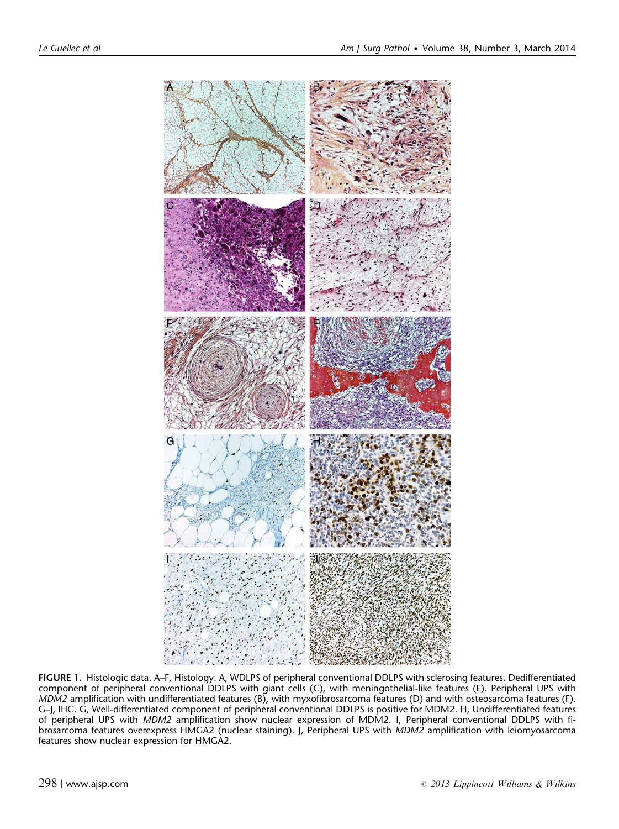<span id="page-5-0"></span>

FIGURE 1. Histologic data. A–F, Histology. A, WDLPS of peripheral conventional DDLPS with sclerosing features. Dedifferentiated component of peripheral conventional DDLPS with giant cells (C), with meningothelial-like features (E). Peripheral UPS with MDM2 amplification with undifferentiated features (B), with myxofibrosarcoma features (D) and with osteosarcoma features (F). G–J, IHC. G, Well-differentiated component of peripheral conventional DDLPS is positive for MDM2. H, Undifferentiated features of peripheral UPS with MDM2 amplification show nuclear expression of MDM2. I, Peripheral conventional DDLPS with fibrosarcoma features overexpress HMGA2 (nuclear staining). J, Peripheral UPS with MDM2 amplification with leiomyosarcoma features show nuclear expression for HMGA2.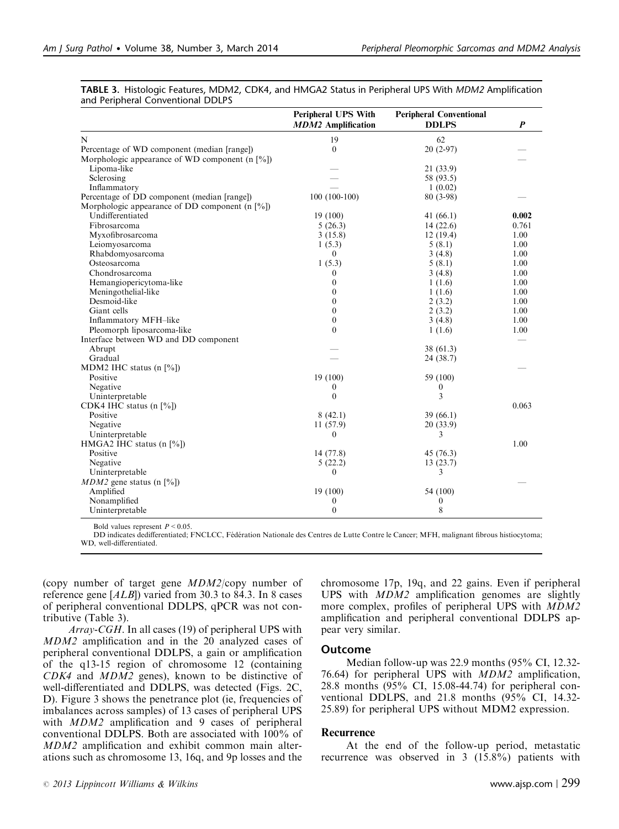|                                                     | <b>Peripheral UPS With</b><br><b>MDM2</b> Amplification | <b>Peripheral Conventional</b><br><b>DDLPS</b> | $\boldsymbol{P}$ |
|-----------------------------------------------------|---------------------------------------------------------|------------------------------------------------|------------------|
| N                                                   | 19                                                      | 62                                             |                  |
| Percentage of WD component (median [range])         | $\overline{0}$                                          | $20(2-97)$                                     |                  |
| Morphologic appearance of WD component (n $[%]$ )   |                                                         |                                                |                  |
| Lipoma-like                                         |                                                         | 21 (33.9)                                      |                  |
| Sclerosing                                          |                                                         | 58 (93.5)                                      |                  |
| Inflammatory                                        |                                                         | 1(0.02)                                        |                  |
| Percentage of DD component (median [range])         | $100(100-100)$                                          | 80 (3-98)                                      |                  |
| Morphologic appearance of DD component (n $[%]$ )   |                                                         |                                                |                  |
| Undifferentiated                                    | 19(100)                                                 | 41 $(66.1)$                                    | 0.002            |
| Fibrosarcoma                                        | 5(26.3)                                                 | 14(22.6)                                       | 0.761            |
| Myxofibrosarcoma                                    | 3(15.8)                                                 | 12(19.4)                                       | 1.00             |
| Leiomyosarcoma                                      | 1(5.3)                                                  | 5(8.1)                                         | 1.00             |
| Rhabdomyosarcoma                                    | $\Omega$                                                | 3(4.8)                                         | 1.00             |
| Osteosarcoma                                        | 1(5.3)                                                  | 5(8.1)                                         | 1.00             |
| Chondrosarcoma                                      | $\overline{0}$                                          | 3(4.8)                                         | 1.00             |
| Hemangiopericytoma-like                             | $\overline{0}$                                          | 1(1.6)                                         | 1.00             |
| Meningothelial-like                                 | $\overline{0}$                                          | 1(1.6)                                         | 1.00             |
| Desmoid-like                                        | $\mathbf{0}$                                            | 2(3.2)                                         | 1.00             |
| Giant cells                                         | $\overline{0}$                                          | 2(3.2)                                         | 1.00             |
| Inflammatory MFH-like                               | $\boldsymbol{0}$                                        | 3(4.8)                                         | 1.00             |
| Pleomorph liposarcoma-like                          | $\theta$                                                | 1(1.6)                                         | 1.00             |
| Interface between WD and DD component               |                                                         |                                                |                  |
| Abrupt                                              |                                                         | 38 (61.3)                                      |                  |
| Gradual                                             |                                                         | 24 (38.7)                                      |                  |
| MDM2 IHC status (n [%])                             |                                                         |                                                |                  |
| Positive                                            | 19 (100)                                                | 59 (100)                                       |                  |
| Negative                                            | 0                                                       | $\boldsymbol{0}$                               |                  |
| Uninterpretable                                     | $\mathbf{0}$                                            | 3                                              |                  |
| CDK4 IHC status $(n \sqrt{8})$                      |                                                         |                                                | 0.063            |
| Positive                                            | 8(42.1)                                                 | 39(66.1)                                       |                  |
| Negative                                            | 11(57.9)                                                | 20 (33.9)                                      |                  |
| Uninterpretable                                     | $\Omega$                                                | 3                                              |                  |
| HMGA2 IHC status $(n \, \lceil \frac{9}{0} \rceil)$ |                                                         |                                                | 1.00             |
| Positive                                            | 14 (77.8)                                               | 45 (76.3)                                      |                  |
| Negative                                            | 5(22.2)                                                 | 13(23.7)                                       |                  |
| Uninterpretable                                     | $\overline{0}$                                          | 3                                              |                  |
| $MDM2$ gene status (n [%])                          |                                                         |                                                |                  |
| Amplified                                           | 19 (100)                                                | 54 (100)                                       |                  |
| Nonamplified                                        | 0                                                       | 0                                              |                  |
| Uninterpretable                                     | $\mathbf{0}$                                            | 8                                              |                  |

<span id="page-6-0"></span>

| TABLE 3. Histologic Features, MDM2, CDK4, and HMGA2 Status in Peripheral UPS With MDM2 Amplification |  |  |  |  |
|------------------------------------------------------------------------------------------------------|--|--|--|--|
| and Peripheral Conventional DDLPS                                                                    |  |  |  |  |

Bold values represent  $P < 0.05$ .

DD indicates dedifferentiated; FNCLCC, Fédération Nationale des Centres de Lutte Contre le Cancer; MFH, malignant fibrous histiocytoma; WD, well-differentiated.

(copy number of target gene MDM2/copy number of reference gene [ALB]) varied from 30.3 to 84.3. In 8 cases of peripheral conventional DDLPS, qPCR was not contributive (Table 3).

Array-CGH. In all cases (19) of peripheral UPS with MDM2 amplification and in the 20 analyzed cases of peripheral conventional DDLPS, a gain or amplification of the q13-15 region of chromosome 12 (containing CDK4 and MDM2 genes), known to be distinctive of well-differentiated and DDLPS, was detected ([Figs. 2C,](#page-7-0) [D\)](#page-7-0). [Figure 3](#page-8-0) shows the penetrance plot (ie, frequencies of imbalances across samples) of 13 cases of peripheral UPS with *MDM2* amplification and 9 cases of peripheral conventional DDLPS. Both are associated with 100% of MDM2 amplification and exhibit common main alterations such as chromosome 13, 16q, and 9p losses and the chromosome 17p, 19q, and 22 gains. Even if peripheral UPS with MDM2 amplification genomes are slightly more complex, profiles of peripheral UPS with MDM2 amplification and peripheral conventional DDLPS appear very similar.

#### Outcome

Median follow-up was 22.9 months (95% CI, 12.32- 76.64) for peripheral UPS with MDM2 amplification, 28.8 months (95% CI, 15.08-44.74) for peripheral conventional DDLPS, and 21.8 months (95% CI, 14.32- 25.89) for peripheral UPS without MDM2 expression.

### Recurrence

At the end of the follow-up period, metastatic recurrence was observed in 3 (15.8%) patients with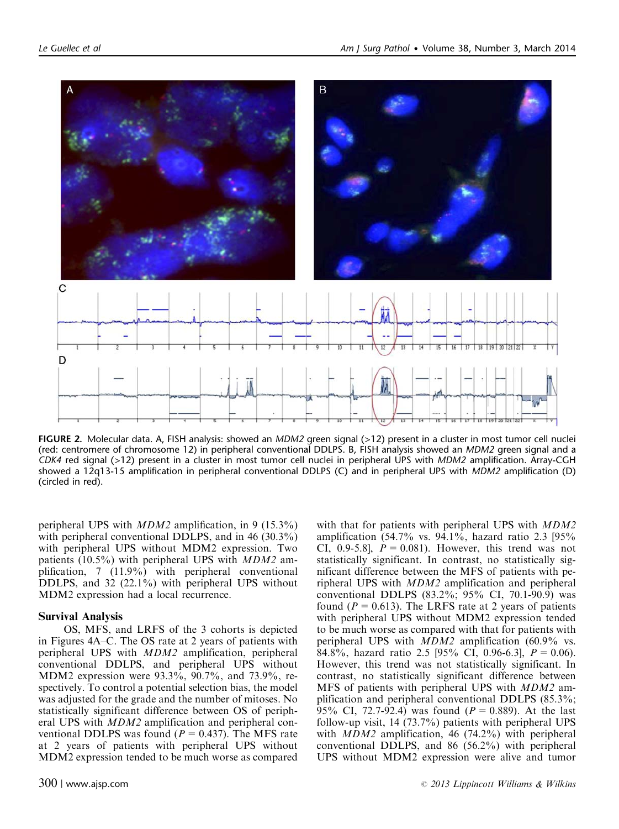<span id="page-7-0"></span>

FIGURE 2. Molecular data. A, FISH analysis: showed an MDM2 green signal (>12) present in a cluster in most tumor cell nuclei (red: centromere of chromosome 12) in peripheral conventional DDLPS. B, FISH analysis showed an MDM2 green signal and a CDK4 red signal (>12) present in a cluster in most tumor cell nuclei in peripheral UPS with MDM2 amplification. Array-CGH showed a 12q13-15 amplification in peripheral conventional DDLPS (C) and in peripheral UPS with MDM2 amplification (D) (circled in red).

peripheral UPS with MDM2 amplification, in 9 (15.3%) with peripheral conventional DDLPS, and in 46 (30.3%) with peripheral UPS without MDM2 expression. Two patients (10.5%) with peripheral UPS with MDM2 amplification, 7 (11.9%) with peripheral conventional DDLPS, and 32 (22.1%) with peripheral UPS without MDM2 expression had a local recurrence.

#### Survival Analysis

OS, MFS, and LRFS of the 3 cohorts is depicted in [Figures 4A–C.](#page-9-0) The OS rate at 2 years of patients with peripheral UPS with MDM2 amplification, peripheral conventional DDLPS, and peripheral UPS without MDM2 expression were 93.3%, 90.7%, and 73.9%, respectively. To control a potential selection bias, the model was adjusted for the grade and the number of mitoses. No statistically significant difference between OS of peripheral UPS with MDM2 amplification and peripheral conventional DDLPS was found ( $P = 0.437$ ). The MFS rate at 2 years of patients with peripheral UPS without MDM2 expression tended to be much worse as compared with that for patients with peripheral UPS with  $MDM2$ amplification (54.7% vs. 94.1%, hazard ratio 2.3 [95% CI, 0.9-5.8],  $P = 0.081$ . However, this trend was not statistically significant. In contrast, no statistically significant difference between the MFS of patients with peripheral UPS with MDM2 amplification and peripheral conventional DDLPS (83.2%; 95% CI, 70.1-90.9) was found ( $P = 0.613$ ). The LRFS rate at 2 years of patients with peripheral UPS without MDM2 expression tended to be much worse as compared with that for patients with peripheral UPS with MDM2 amplification (60.9% vs. 84.8%, hazard ratio 2.5 [95% CI, 0.96-6.3],  $P = 0.06$ ). However, this trend was not statistically significant. In contrast, no statistically significant difference between MFS of patients with peripheral UPS with MDM2 amplification and peripheral conventional DDLPS (85.3%; 95% CI, 72.7-92.4) was found ( $P = 0.889$ ). At the last follow-up visit, 14 (73.7%) patients with peripheral UPS with *MDM2* amplification, 46 (74.2%) with peripheral conventional DDLPS, and 86 (56.2%) with peripheral UPS without MDM2 expression were alive and tumor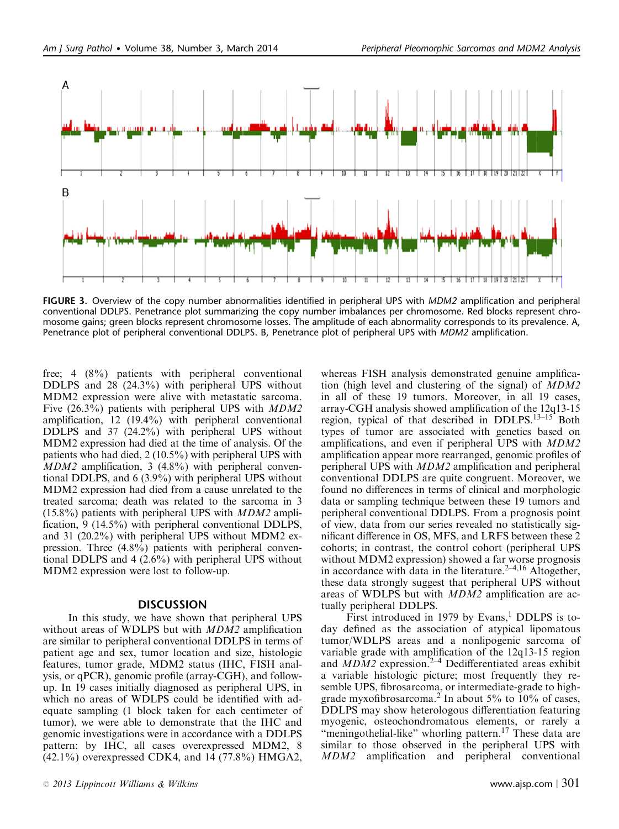<span id="page-8-0"></span>

FIGURE 3. Overview of the copy number abnormalities identified in peripheral UPS with *MDM2* amplification and peripheral conventional DDLPS. Penetrance plot summarizing the copy number imbalances per chromosome. Red blocks represent chromosome gains; green blocks represent chromosome losses. The amplitude of each abnormality corresponds to its prevalence. A, Penetrance plot of peripheral conventional DDLPS. B, Penetrance plot of peripheral UPS with MDM2 amplification.

free; 4 (8%) patients with peripheral conventional DDLPS and 28 (24.3%) with peripheral UPS without MDM2 expression were alive with metastatic sarcoma. Five (26.3%) patients with peripheral UPS with *MDM2* amplification, 12 (19.4%) with peripheral conventional DDLPS and 37 (24.2%) with peripheral UPS without MDM2 expression had died at the time of analysis. Of the patients who had died, 2 (10.5%) with peripheral UPS with MDM2 amplification, 3 (4.8%) with peripheral conventional DDLPS, and 6 (3.9%) with peripheral UPS without MDM2 expression had died from a cause unrelated to the treated sarcoma; death was related to the sarcoma in 3  $(15.8\%)$  patients with peripheral UPS with *MDM2* amplification, 9 (14.5%) with peripheral conventional DDLPS, and 31 (20.2%) with peripheral UPS without MDM2 expression. Three (4.8%) patients with peripheral conventional DDLPS and 4 (2.6%) with peripheral UPS without MDM2 expression were lost to follow-up.

#### **DISCUSSION**

In this study, we have shown that peripheral UPS without areas of WDLPS but with *MDM2* amplification are similar to peripheral conventional DDLPS in terms of patient age and sex, tumor location and size, histologic features, tumor grade, MDM2 status (IHC, FISH analysis, or qPCR), genomic profile (array-CGH), and followup. In 19 cases initially diagnosed as peripheral UPS, in which no areas of WDLPS could be identified with adequate sampling (1 block taken for each centimeter of tumor), we were able to demonstrate that the IHC and genomic investigations were in accordance with a DDLPS pattern: by IHC, all cases overexpressed MDM2, 8  $(42.1\%)$  overexpressed CDK4, and 14 (77.8%) HMGA2,

whereas FISH analysis demonstrated genuine amplification (high level and clustering of the signal) of MDM2 in all of these 19 tumors. Moreover, in all 19 cases, array-CGH analysis showed amplification of the 12q13-15 region, typical of that described in DDLPS.<sup>13-15</sup> Both types of tumor are associated with genetics based on amplifications, and even if peripheral UPS with MDM2 amplification appear more rearranged, genomic profiles of peripheral UPS with MDM2 amplification and peripheral conventional DDLPS are quite congruent. Moreover, we found no differences in terms of clinical and morphologic data or sampling technique between these 19 tumors and peripheral conventional DDLPS. From a prognosis point of view, data from our series revealed no statistically significant difference in OS, MFS, and LRFS between these 2 cohorts; in contrast, the control cohort (peripheral UPS without MDM2 expression) showed a far worse prognosis in accordance with data in the literature.<sup>2-4,16</sup> Altogether, these data strongly suggest that peripheral UPS without areas of WDLPS but with MDM2 amplification are actually peripheral DDLPS.

First introduced in 1979 by Evans, $<sup>1</sup>$  DDLPS is to-</sup> day defined as the association of atypical lipomatous tumor/WDLPS areas and a nonlipogenic sarcoma of variable grade with amplification of the 12q13-15 region and  $MDM2$  expression.<sup>2-4</sup> Dedifferentiated areas exhibit a variable histologic picture; most frequently they resemble UPS, fibrosarcoma, or intermediate-grade to high-grade myxofibrosarcoma.<sup>[2](#page-11-0)</sup> In about 5% to 10% of cases, DDLPS may show heterologous differentiation featuring myogenic, osteochondromatous elements, or rarely a "meningothelial-like" whorling pattern.<sup>[17](#page-11-0)</sup> These data are similar to those observed in the peripheral UPS with MDM2 amplification and peripheral conventional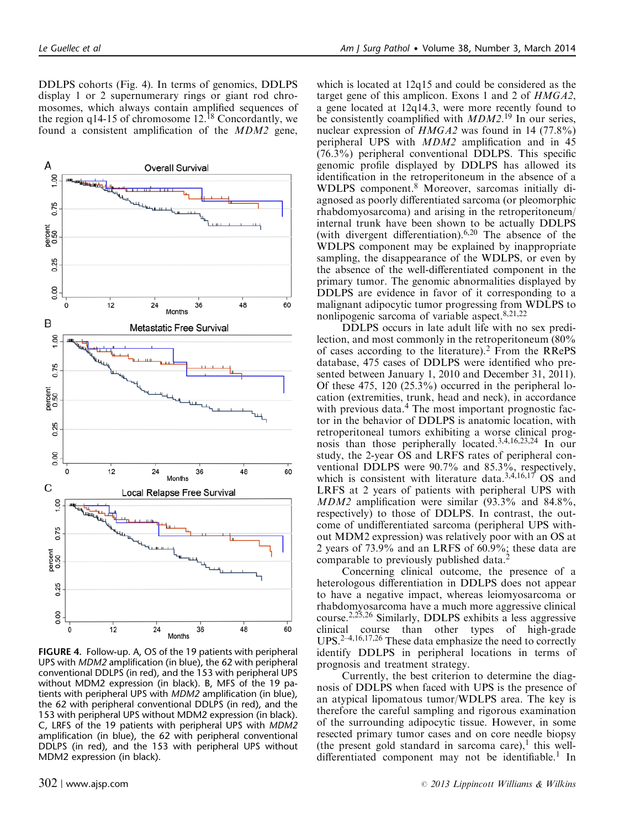<span id="page-9-0"></span>DDLPS cohorts (Fig. 4). In terms of genomics, DDLPS display 1 or 2 supernumerary rings or giant rod chromosomes, which always contain amplified sequences of the region q14-15 of chromosome  $12<sup>18</sup>$  $12<sup>18</sup>$  $12<sup>18</sup>$  Concordantly, we found a consistent amplification of the MDM2 gene,



FIGURE 4. Follow-up. A, OS of the 19 patients with peripheral UPS with MDM2 amplification (in blue), the 62 with peripheral conventional DDLPS (in red), and the 153 with peripheral UPS without MDM2 expression (in black). B, MFS of the 19 patients with peripheral UPS with MDM2 amplification (in blue), the 62 with peripheral conventional DDLPS (in red), and the 153 with peripheral UPS without MDM2 expression (in black). C, LRFS of the 19 patients with peripheral UPS with MDM2 amplification (in blue), the 62 with peripheral conventional DDLPS (in red), and the 153 with peripheral UPS without MDM2 expression (in black).

which is located at 12q15 and could be considered as the target gene of this amplicon. Exons 1 and 2 of HMGA2, a gene located at 12q14.3, were more recently found to be consistently coamplified with  $MDM2$ .<sup>[19](#page-11-0)</sup> In our series, nuclear expression of HMGA2 was found in 14 (77.8%) peripheral UPS with MDM2 amplification and in 45 (76.3%) peripheral conventional DDLPS. This specific genomic profile displayed by DDLPS has allowed its identification in the retroperitoneum in the absence of a WDLPS component.[8](#page-11-0) Moreover, sarcomas initially diagnosed as poorly differentiated sarcoma (or pleomorphic rhabdomyosarcoma) and arising in the retroperitoneum/ internal trunk have been shown to be actually DDLPS (with divergent differentiation).[6,20](#page-11-0) The absence of the WDLPS component may be explained by inappropriate sampling, the disappearance of the WDLPS, or even by the absence of the well-differentiated component in the primary tumor. The genomic abnormalities displayed by DDLPS are evidence in favor of it corresponding to a malignant adipocytic tumor progressing from WDLPS to nonlipogenic sarcoma of variable aspect.<sup>[8,21,22](#page-11-0)</sup>

DDLPS occurs in late adult life with no sex predilection, and most commonly in the retroperitoneum (80% of cases according to the literature).[2](#page-11-0) From the RRePS database, 475 cases of DDLPS were identified who presented between January 1, 2010 and December 31, 2011). Of these 475, 120 (25.3%) occurred in the peripheral location (extremities, trunk, head and neck), in accordance with previous data.<sup>[4](#page-11-0)</sup> The most important prognostic factor in the behavior of DDLPS is anatomic location, with retroperitoneal tumors exhibiting a worse clinical prognosis than those peripherally located.[3,4,16,23,24](#page-11-0) In our study, the 2-year OS and LRFS rates of peripheral conventional DDLPS were 90.7% and 85.3%, respectively, which is consistent with literature data.<sup>[3,4,16,17](#page-11-0)</sup> OS and LRFS at 2 years of patients with peripheral UPS with MDM2 amplification were similar (93.3% and 84.8%, respectively) to those of DDLPS. In contrast, the outcome of undifferentiated sarcoma (peripheral UPS without MDM2 expression) was relatively poor with an OS at 2 years of 73.9% and an LRFS of 60.9%; these data are comparable to previously published data.

Concerning clinical outcome, the presence of a heterologous differentiation in DDLPS does not appear to have a negative impact, whereas leiomyosarcoma or rhabdomyosarcoma have a much more aggressive clinical course.[2,25,26](#page-11-0) Similarly, DDLPS exhibits a less aggressive clinical course than other types of high-grade UPS.<sup>[2–4,16,17,26](#page-11-0)</sup> These data emphasize the need to correctly identify DDLPS in peripheral locations in terms of prognosis and treatment strategy.

Currently, the best criterion to determine the diagnosis of DDLPS when faced with UPS is the presence of an atypical lipomatous tumor/WDLPS area. The key is therefore the careful sampling and rigorous examination of the surrounding adipocytic tissue. However, in some resected primary tumor cases and on core needle biopsy (the present gold standard in sarcoma care), this well-differentiated component may not be identifiable.<sup>[1](#page-11-0)</sup> In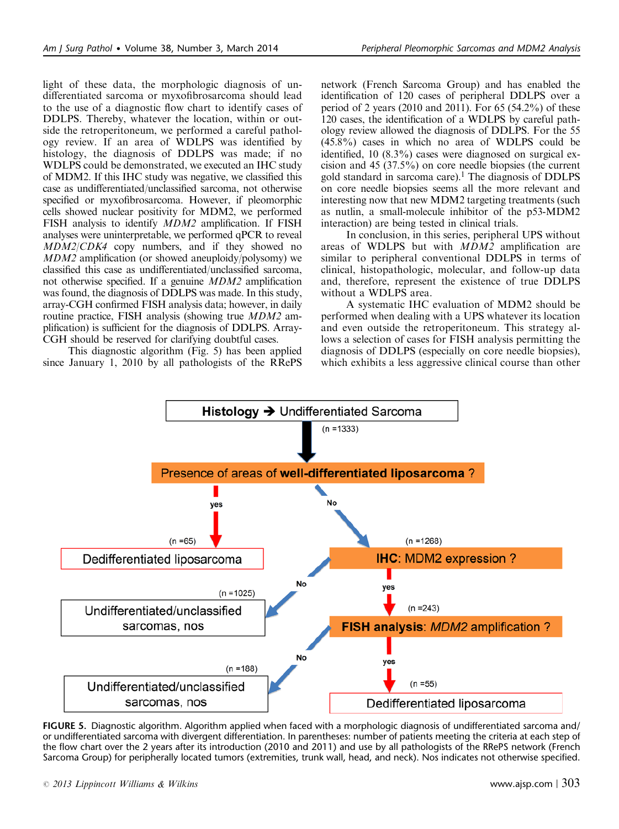light of these data, the morphologic diagnosis of undifferentiated sarcoma or myxofibrosarcoma should lead to the use of a diagnostic flow chart to identify cases of DDLPS. Thereby, whatever the location, within or outside the retroperitoneum, we performed a careful pathology review. If an area of WDLPS was identified by histology, the diagnosis of DDLPS was made; if no WDLPS could be demonstrated, we executed an IHC study of MDM2. If this IHC study was negative, we classified this case as undifferentiated/unclassified sarcoma, not otherwise specified or myxofibrosarcoma. However, if pleomorphic cells showed nuclear positivity for MDM2, we performed FISH analysis to identify MDM2 amplification. If FISH analyses were uninterpretable, we performed qPCR to reveal MDM2/CDK4 copy numbers, and if they showed no MDM2 amplification (or showed aneuploidy/polysomy) we classified this case as undifferentiated/unclassified sarcoma, not otherwise specified. If a genuine MDM2 amplification was found, the diagnosis of DDLPS was made. In this study, array-CGH confirmed FISH analysis data; however, in daily routine practice, FISH analysis (showing true *MDM2* amplification) is sufficient for the diagnosis of DDLPS. Array-CGH should be reserved for clarifying doubtful cases.

This diagnostic algorithm (Fig. 5) has been applied since January 1, 2010 by all pathologists of the RRePS network (French Sarcoma Group) and has enabled the identification of 120 cases of peripheral DDLPS over a period of 2 years (2010 and 2011). For 65 (54.2%) of these 120 cases, the identification of a WDLPS by careful pathology review allowed the diagnosis of DDLPS. For the 55 (45.8%) cases in which no area of WDLPS could be identified, 10 (8.3%) cases were diagnosed on surgical excision and 45 (37.5%) on core needle biopsies (the current gold standard in sarcoma care).<sup>[1](#page-11-0)</sup> The diagnosis of DDLPS on core needle biopsies seems all the more relevant and interesting now that new MDM2 targeting treatments (such as nutlin, a small-molecule inhibitor of the p53-MDM2 interaction) are being tested in clinical trials.

In conclusion, in this series, peripheral UPS without areas of WDLPS but with MDM2 amplification are similar to peripheral conventional DDLPS in terms of clinical, histopathologic, molecular, and follow-up data and, therefore, represent the existence of true DDLPS without a WDLPS area.

A systematic IHC evaluation of MDM2 should be performed when dealing with a UPS whatever its location and even outside the retroperitoneum. This strategy allows a selection of cases for FISH analysis permitting the diagnosis of DDLPS (especially on core needle biopsies), which exhibits a less aggressive clinical course than other



FIGURE 5. Diagnostic algorithm. Algorithm applied when faced with a morphologic diagnosis of undifferentiated sarcoma and/ or undifferentiated sarcoma with divergent differentiation. In parentheses: number of patients meeting the criteria at each step of the flow chart over the 2 years after its introduction (2010 and 2011) and use by all pathologists of the RRePS network (French Sarcoma Group) for peripherally located tumors (extremities, trunk wall, head, and neck). Nos indicates not otherwise specified.